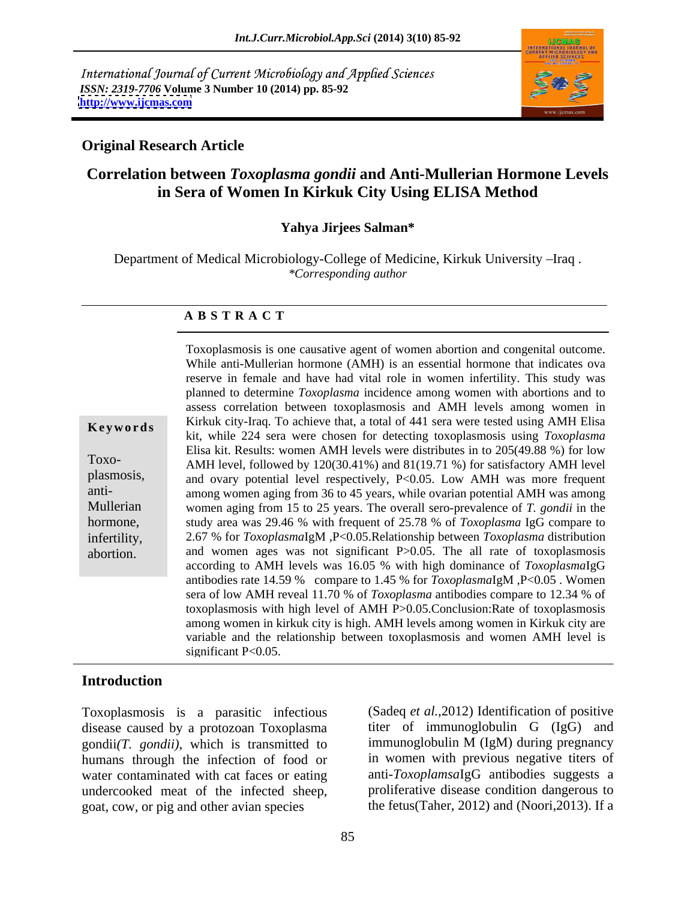International Journal of Current Microbiology and Applied Sciences *ISSN: 2319-7706* **Volume 3 Number 10 (2014) pp. 85-92 <http://www.ijcmas.com>**



## **Original Research Article**

# **Correlation between** *Toxoplasma gondii* **and Anti-Mullerian Hormone Levels in Sera of Women In Kirkuk City Using ELISA Method**

## **Yahya Jirjees Salman\***

Department of Medical Microbiology-College of Medicine, Kirkuk University - Iraq. *\*Corresponding author* 

### **A B S T R A C T**

**Keywords** Kirkuk city-Iraq. To achieve that, a total of 441 sera were tested using AMH Elisa Toxo-<br>AMH level, followed by  $120(30.41\%)$  and  $81(19.71\%)$  for satisfactory AMH level plasmosis, and ovary potential level respectively, P<0.05. Low AMH was more frequent anti- among women aging from 36 to 45 years, while ovarian potential AMH was among Mullerian women aging from 15 to 25 years. The overall sero-prevalence of *T. gondii* in the hormone, study area was 29.46 % with frequent of 25.78 % of *Toxoplasma* IgG compare to infertility, 2.67 % for *Toxoplasma*IgM ,P<0.05.Relationship between *Toxoplasma* distribution abortion. and women ages was not significant P>0.05. The all rate of toxoplasmosis Toxoplasmosis is one causative agent of women abortion and congenital outcome. While anti-Mullerian hormone (AMH) is an essential hormone that indicates ova reserve in female and have had vital role in women infertility. This study was planned to determine *Toxoplasma* incidence among women with abortions and to assess correlation between toxoplasmosis and AMH levels among women in kit, while 224 sera were chosen for detecting toxoplasmosis using *Toxoplasma* Elisa kit. Results: women AMH levels were distributes in to 205(49.88 %) for low according to AMH levels was 16.05 % with high dominance of *Toxoplasma*IgG antibodies rate 14.59 % compare to 1.45 % for *Toxoplasma*IgM ,P<0.05 . Women sera of low AMH reveal 11.70 % of *Toxoplasma* antibodies compare to 12.34 % of toxoplasmosis with high level of AMH P>0.05.Conclusion:Rate of toxoplasmosis among women in kirkuk city is high. AMH levels among women in Kirkuk city are variable and the relationship between toxoplasmosis and women AMH level is significant P<0.05.

## **Introduction**

Toxoplasmosis is a parasitic infectious disease caused by a protozoan Toxoplasma gondii*(T. gondii)*, which is transmitted to humans through the infection of food or water contaminated with cat faces or eating undercooked meat of the infected sheep, goat, cow, or pig and other avian species

(Sadeq *et al.,*2012) Identification of positive titer of immunoglobulin G (IgG) and immunoglobulin M (IgM) during pregnancy in women with previous negative titers of anti-*Toxoplamsa*IgG antibodies suggests a proliferative disease condition dangerous to the fetus(Taher, 2012) and (Noori,2013). If a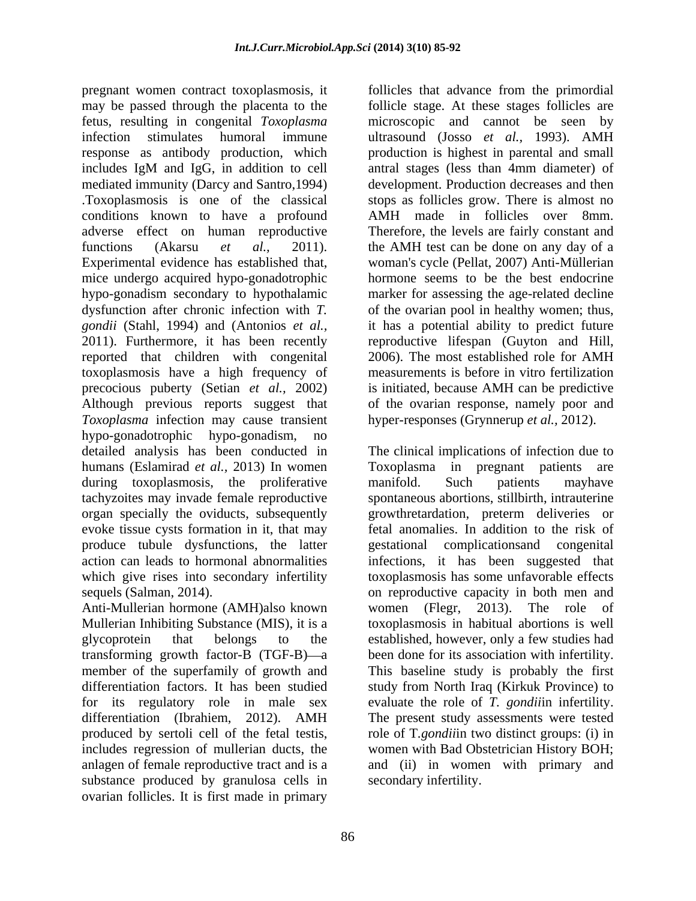pregnant women contract toxoplasmosis, it follicles that advance from the primordial may be passed through the placenta to the follicle stage. At these stages follicles are fetus, resulting in congenital *Toxoplasma*  microscopic and cannot be seen by infection stimulates humoral immune ultrasound (Josso *et al.,* 1993). AMH response as antibody production, which production is highest in parental and small includes IgM and IgG, in addition to cell mediated immunity (Darcy and Santro,1994) development. Production decreases and then .Toxoplasmosis is one of the classical stopsas follicles grow. There is almost no conditions known to have a profound adverse effect on human reproductive Therefore, the levels are fairly constant and functions (Akarsu *et al.,* 2011). the AMH test can be done on any day of a Experimental evidence has established that, woman's cycle (Pellat, 2007) Anti-Müllerian mice undergo acquired hypo-gonadotrophic hypo-gonadism secondary to hypothalamic marker for assessing the age-related decline dysfunction after chronic infection with *T.*  of the ovarian pool in healthy women; thus, *gondii* (Stahl, 1994) and (Antonios *et al.,* it has a potential ability to predict future 2011). Furthermore, it has been recently reproductive lifespan (Guyton and Hill, reported that children with congenital 2006). The most established role for AMH toxoplasmosis have a high frequency of precocious puberty (Setian *et al.,* 2002) is initiated, because AMH can be predictive Although previous reports suggest that of the ovarian response, namely poor and *Toxoplasma* infection may cause transient hypo-gonadotrophic hypo-gonadism, no during toxoplasmosis, the proliferative manifold. Such patients may ave produce tubule dysfunctions, the latter

transforming growth factor-B  $(TGF-B)$ —a for its regulatory role in male sex substance produced by granulosa cells in ovarian follicles. It is first made in primary

antral stages (less than 4mm diameter) of AMH made in follicles over 8mm. hormone seems to be the best endocrine 2006). The most established role for AMH measurements is before in vitro fertilization hyper-responses (Grynnerup *et al.,* 2012).

detailed analysis has been conducted in The clinical implications of infection due to humans (Eslamirad *et al.,* 2013) In women Toxoplasma in pregnant patients are tachyzoites may invade female reproductive spontaneous abortions, stillbirth, intrauterine organ specially the oviducts, subsequently growthretardation, preterm deliveries or evoke tissue cysts formation in it, that may fetal anomalies. In addition to the risk of action can leads to hormonal abnormalities infections, it has been suggested that which give rises into secondary infertility toxoplasmosis has some unfavorable effects sequels (Salman, 2014). on reproductive capacity in both men and Anti-Mullerian hormone (AMH)also known women (Flegr, 2013). The role of Mullerian Inhibiting Substance (MIS), it is a toxoplasmosis in habitual abortions is well glycoprotein that belongs to the established, however, only a few studies had member of the superfamily of growth and This baseline study is probably the first differentiation factors. It has been studied study from North Iraq (Kirkuk Province) to differentiation (Ibrahiem, 2012). AMH The present study assessments were tested produced by sertoli cell of the fetal testis, role of T*.gondii*in two distinct groups: (i) in includes regression of mullerian ducts, the women with Bad Obstetrician History BOH; anlagen of female reproductive tract and is a and (ii) in women with primary and manifold. Such patients mayhave complications and congenital women (Flegr, 2013). The role of been done for its association with infertility. evaluate the role of *T. gondii*in infertility. secondary infertility.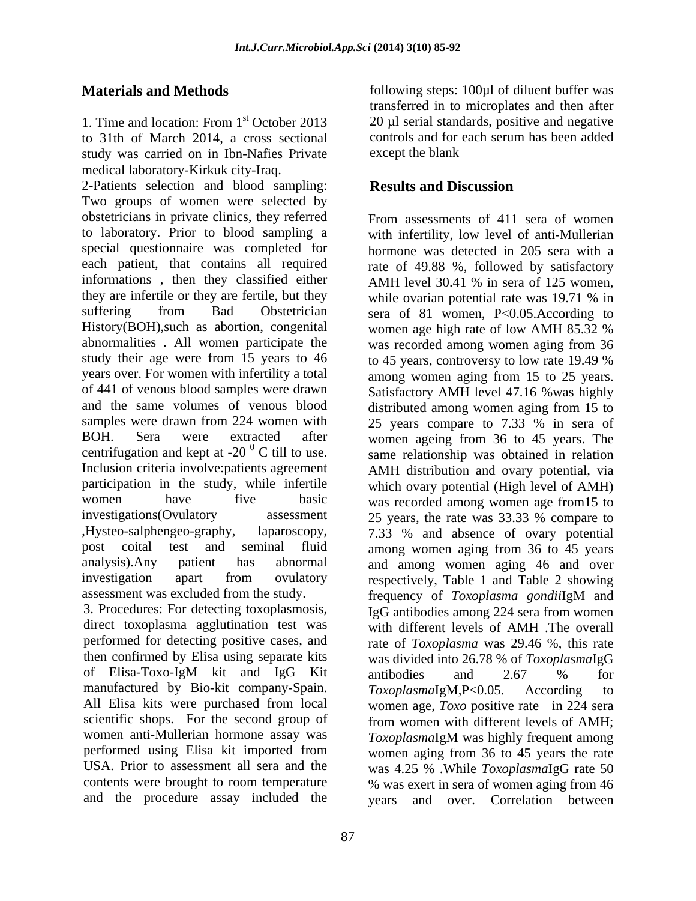1. Time and location: From  $1<sup>st</sup>$  October 2013 20 µl serial standards, positive and negative to 31th of March 2014, a cross sectional study was carried on in Ibn-Nafies Private medical laboratory-Kirkuk city-Iraq.

2-Patients selection and blood sampling: Results and Discussion Two groups of women were selected by obstetricians in private clinics, they referred to laboratory. Prior to blood sampling a special questionnaire was completed for hormone was detected in 205 sera with a each patient, that contains all required informations, then they classified either informations , then they classified either AMH level 30.41 % in sera of 125 women, they are infertile or they are fertile, but they while ovarian potential rate was 19.71 % in suffering from Bad Obstetrician sera of 81 women, P<0.05.According to History(BOH), such as abortion, congenital women age high rate of low AMH 85.32 % abnormalities . All women participate the was recorded among women aging from 36 study their age were from 15 years to 46 to 45 years, controversy to low rate 19.49 % years over. For women with infertility a total among women aging from 15 to 25 years. of 441 of venous blood samples were drawn Satisfactory AMH level 47.16 %was highly and the same volumes of venous blood distributed among women aging from 15 to samples were drawn from 224 women with 25 years compare to 7.33 % in sera of BOH. Sera were extracted after women ageing from 36 to 45 years. The centrifugation and kept at -20 $^{0}$  C till to use. Inclusion criteria involve:patients agreement AMH distribution and ovary potential, via participation in the study, while infertile women have five basic was recorded among women age from15 to investigations(Ovulatory assessment 25 years, the rate was 33.33 % compare to ,Hysteo-salphengeo-graphy, laparoscopy, 7.33 % and absence of ovary potential post coital test and seminal fluid among women aging from 36 to 45 years analysis).Any patient has abnormal and among women aging 46 and over investigation apart from ovulatory respectively, Table 1 and Table 2 showing assessment was excluded from the study. Frequency of Toxoplasma gondilg M and

direct toxoplasma agglutination test was with different levels of AMH. The overall manufactured by Bio-kit company-Spain.  $ToxoplasmaIgM.P<0.05$ . According to All Elisa kits were purchased from local and the procedure assay included the

**Materials and Methods following steps: 100**µl of diluent buffer was <sup>st</sup> October 2013 20 µl serial standards, positive and negative transferred in to microplates and then after controls and for each serum has been added except the blank

# **Results and Discussion**

3. Procedures: For detecting toxoplasmosis,  $I_gG$  antibodies among 224 sera from women performed for detecting positive cases, and rate of *Toxoplasma* was 29.46 %, this rate then confirmed by Elisa using separate kits was divided into 26.78 % of *Toxoplasma*IgG of Elisa-Toxo-IgM kit and IgG Kit scientific shops. For the second group of from women with different levels of AMH; women anti-Mullerian hormone assay was *Toxoplasma*IgM was highly frequent among performed using Elisa kit imported from women aging from 36 to 45 years the rate USA. Prior to assessment all sera and the was 4.25 % .While *Toxoplasma*IgG rate 50 contents were brought to room temperature % was exert in sera of women aging from 46 From assessments of 411 sera of women with infertility, low level of anti-Mullerian rate of 49.88 %, followed by satisfactory while ovarian potential rate was 19.71 % in women age high rate of low AMH 85.32 % was recorded among women aging from 36 to 45 years, controversy to low rate 19.49 % same relationship was obtained in relation which ovary potential (High level of AMH) 25 years, the rate was 33.33 % compare to frequency of *Toxoplasma gondii*IgM and with different levels of AMH .The overall antibodies and 2.67 % for *Toxoplasma*IgM,P<0.05. According to women age, *Toxo* positive rate in 224 sera and over. Correlation between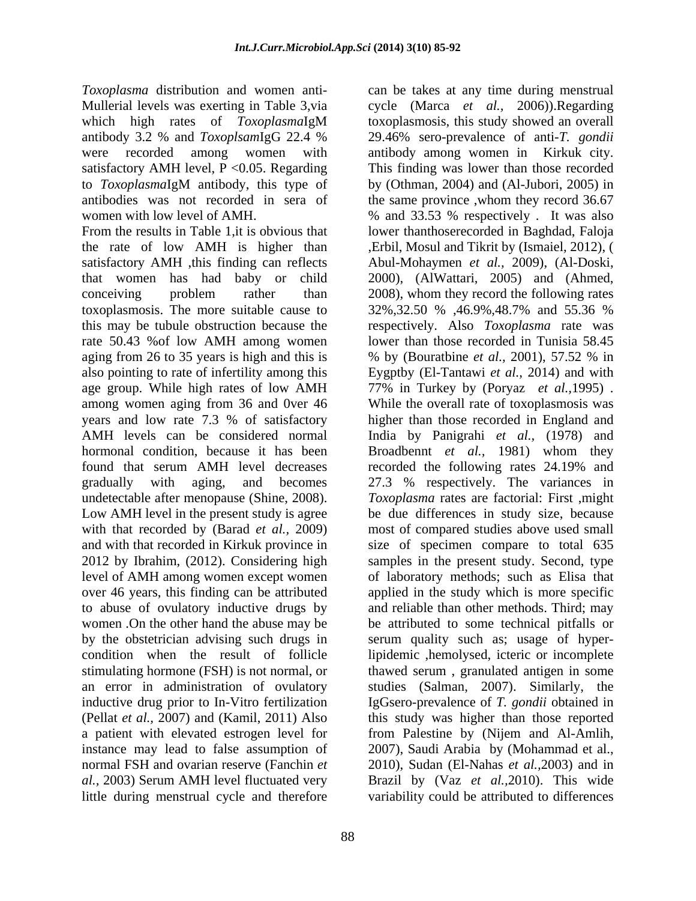satisfactory AMH level,  $P < 0.05$ . Regarding

rate 50.43 %of low AMH among women undetectable after menopause (Shine, 2008). Low AMH level in the present study is agree to abuse of ovulatory inductive drugs by little during menstrual cycle and therefore

*Toxoplasma* distribution and women anti- can be takes at any time during menstrual Mullerial levels was exerting in Table 3,via cycle (Marca *et al.,* 2006)).Regarding which high rates of *Toxoplasma*IgM toxoplasmosis, this study showed an overall antibody 3.2 % and *Toxoplsam*IgG 22.4 % were recorded among women with antibody among women in Kirkuk city. to *Toxoplasma*IgM antibody, this type of antibodies was not recorded in sera of the same province ,whom they record 36.67 women with low level of AMH. % and 33.53 % respectively . It was also From the results in Table 1,it is obvious that lower thanthoserecorded in Baghdad, Faloja the rate of low AMH is higher than ,Erbil, Mosul and Tikrit by (Ismaiel, 2012), ( satisfactory AMH ,this finding can reflects Abul-Mohaymen *et al.,* 2009), (Al-Doski, that women has had baby or child 2000), (AlWattari,2005) and (Ahmed, conceiving problem rather than 2008), whom they record the following rates toxoplasmosis. The more suitable cause to 32%,32.50 % ,46.9%,48.7% and 55.36 % this may be tubule obstruction because the respectively. Also *Toxoplasma* rate was aging from 26 to 35 years is high and this is % by (Bouratbine *et al.,* 2001), 57.52 % in also pointing to rate of infertility among this Eygptby (El-Tantawi *et al.,* 2014) and with age group. While high rates of low AMH 77% in Turkey by (Poryaz *et al.,*1995) . among women aging from 36 and 0ver 46 While the overall rate of toxoplasmosis was years and low rate 7.3 % of satisfactory higher than those recorded in England and AMH levels can be considered normal India by Panigrahi *et al.,* (1978) and hormonal condition, because it has been Broadbennt *et al.,* 1981) whom they found that serum AMH level decreases recorded the following rates 24.19% and gradually with aging, and becomes 27.3 % respectively. The variances in with that recorded by (Barad *et al.,* 2009) most of compared studies above used small and with that recorded in Kirkuk province in size of specimen compare to total 635 2012 by Ibrahim, (2012). Considering high samples in the present study. Second, type level of AMH among women except women of laboratory methods; such as Elisa that over 46 years, this finding can be attributed applied in the study which is more specific women .On the other hand the abuse may be be attributed to some technical pitfalls or by the obstetrician advising such drugs in serum quality such as; usage of hypercondition when the result of follicle lipidemic ,hemolysed, icteric or incomplete stimulating hormone (FSH) is not normal, or thawed serum , granulated antigen in some an error in administration of ovulatory studies (Salman, 2007). Similarly, the inductive drug prior to In-Vitro fertilization IgGsero-prevalence of *T. gondii* obtained in (Pellat *et al.,* 2007) and (Kamil, 2011) Also this study was higher than those reported a patient with elevated estrogen level for from Palestine by (Nijem and Al-Amlih, instance may lead to false assumption of 2007), Saudi Arabia by (Mohammad et al., normal FSH and ovarian reserve (Fanchin *et*  2010), Sudan (El-Nahas *et al.,*2003) and in *al.,* 2003) Serum AMH level fluctuated very Brazil by (Vaz *et al.,*2010). This wide 29.46% sero-prevalence of anti-*T. gondii* This finding was lower than those recorded by (Othman, 2004) and (Al-Jubori, 2005) in lower than those recorded in Tunisia 58.45 *Toxoplasma* rates are factorial: First ,might be due differences in study size, because and reliable than other methods. Third; may variability could be attributed to differences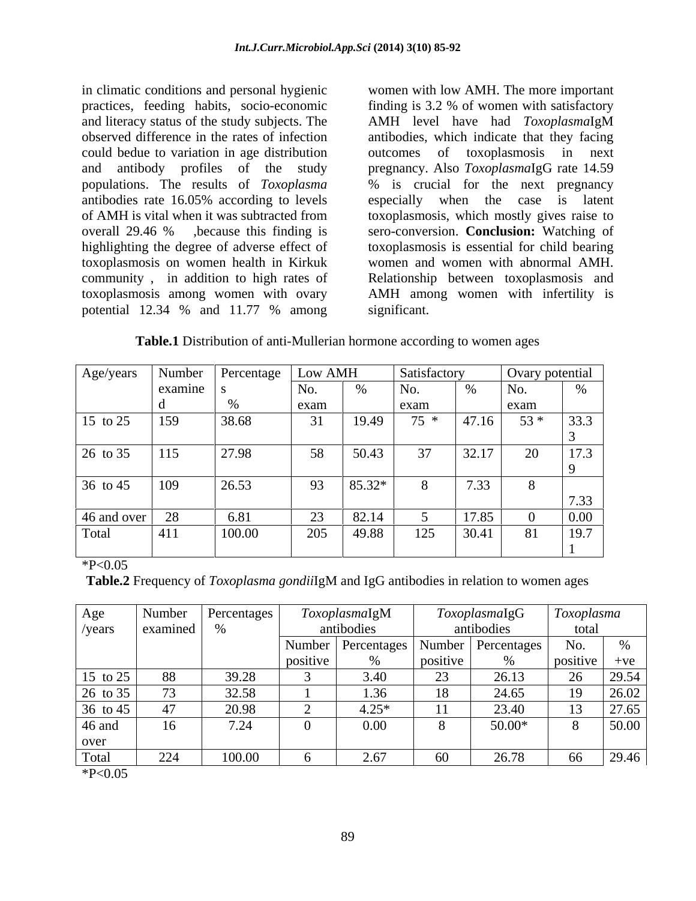in climatic conditions and personal hygienic could bedue to variation in age distribution outcomes of toxoplasmosis in next antibodies rate 16.05% according to levels especially when the case is latent toxoplasmosis on women health in Kirkuk community , in addition to high rates of potential 12.34 % and 11.77 % among

practices, feeding habits, socio-economic finding is 3.2 % of women with satisfactory and literacy status of the study subjects. The AMH level have had *Toxoplasma*IgM observed difference in the rates of infection antibodies, which indicate that they facing and antibody profiles of the study pregnancy. Also *Toxoplasma*IgG rate 14.59 populations. The results of *Toxoplasma* % is crucial for the next pregnancy of AMH is vital when it was subtracted from toxoplasmosis, which mostly gives raise to overall 29.46 % ,because this finding is sero-conversion. **Conclusion:** Watching of highlighting the degree of adverse effect of toxoplasmosis is essential for child bearing toxoplasmosis among women with ovary AMH among women with infertility is women with low AMH. The more important outcomes of toxoplasmosis especially when the case is latent women and women with abnormal AMH. Relationship between toxoplasmosis and significant.

**Table.1** Distribution of anti-Mullerian hormone according to women ages

|                         | Age/years   Number   Percentage Low AMH |        |                |           | <b>Satisfactory</b>              |                     | $\frac{1000000000000000000}{\sqrt{1000000000000}}$ |                  |
|-------------------------|-----------------------------------------|--------|----------------|-----------|----------------------------------|---------------------|----------------------------------------------------|------------------|
|                         | examine                                 |        | No.            |           | No.                              |                     | No.                                                |                  |
|                         |                                         |        | exam           |           | exam                             |                     | exam                                               |                  |
| 15 to 25 159            |                                         | 38.68  | J <sub>1</sub> |           | $19.49$ $75 * 47.16$ $53 * 33.3$ |                     |                                                    |                  |
|                         |                                         |        |                |           |                                  |                     |                                                    |                  |
| $26 \text{ to } 35$ 115 |                                         | 27.98  | 58             | 50.43     | 37                               | 32.17               | 20                                                 | $\vert$ 17.3     |
|                         |                                         |        |                |           |                                  |                     |                                                    |                  |
| $36 \text{ to } 45$ 109 |                                         | 26.53  |                | 93 85.32* |                                  | 7.33                |                                                    |                  |
|                         |                                         |        |                |           |                                  |                     |                                                    | 7.33             |
|                         | $\Omega$                                | 6.81   |                | 82.14     |                                  | 17.85               |                                                    | 0.00             |
| 46 and over             | 411                                     | 100.00 | 205            | 49.88     |                                  | $125 \quad  30.41 $ | 81                                                 | $\frac{19.7}{2}$ |
|                         |                                         |        |                |           |                                  |                     |                                                    |                  |

 $*P<0.05$ 

**Table.2** Frequency of *Toxoplasma gondii*IgM and IgG antibodies in relation to women ages

| Age                 | Number                            | Percentages |          | ToxoplasmaIgM |                | <i><b>ToxoplasmaIgG</b></i>                 | Toxoplasma |                 |
|---------------------|-----------------------------------|-------------|----------|---------------|----------------|---------------------------------------------|------------|-----------------|
| /years              | $\sim$ examined                   |             |          | antibodies    |                | antibodies                                  | total      |                 |
|                     |                                   |             |          |               |                | Number   Percentages   Number   Percentages | No.        |                 |
|                     |                                   |             | positive |               | <b>POSILIV</b> |                                             | positive   | $+ve$           |
| 15 to 25            | 88                                |             |          |               |                | 20.1                                        |            | 29.54           |
| $26 \text{ to } 35$ | $\overline{\phantom{0}}$          | 32.58       |          | $1.36 -$      | 18             | 24.65                                       |            | $\sqrt{26.02}$  |
| 36 to 45            |                                   | 20.98       |          | $4.25*$       | 11             | 23.40                                       |            | 27.65           |
| 46 and              | 16                                |             |          | $0.00\,$      |                | $50.00*$                                    |            | $\boxed{50.00}$ |
| over                |                                   |             |          |               |                |                                             |            |                 |
| Total               | 221<br>$\angle$ $\angle$ $\angle$ | 100.00      |          | 267           |                | 26.78                                       | 66         | 29.46           |

 $*P<0.05$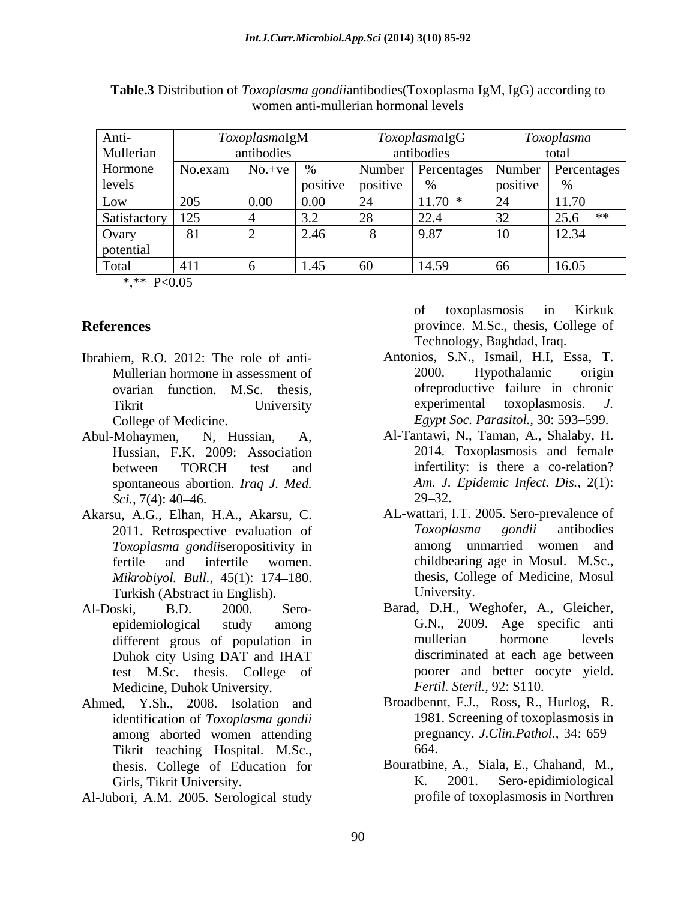|                    |            | <i>oxoplasmalgM</i> |                            |                   | ToxoplasmaIgG                 |          | oxoplasma                                   |
|--------------------|------------|---------------------|----------------------------|-------------------|-------------------------------|----------|---------------------------------------------|
| Anti-<br>Mullerian |            | antibodies          |                            |                   | antibodies                    |          | total                                       |
| Hormone            | No.exam    | $No.+ve$ %          |                            |                   |                               |          | Number   Percentages   Number   Percentages |
| levels             |            |                     |                            | positive positive |                               | positive |                                             |
| Low                | $\mid$ 205 |                     |                            |                   | 11.70<br>11.70                | ⊢ ∠⊣     | 11.70                                       |
| Satisfactory 125   |            |                     | $\cdot$ ) $\cdot$ $\angle$ |                   | $\bigcap_{i=1}^n A_i$<br>44.4 |          | $25.6$ **                                   |
|                    |            |                     | Z.40                       |                   | 9.87                          |          | $12.34$                                     |
| Ovary<br>potential |            |                     |                            |                   |                               |          |                                             |
| Total              | 1411       |                     | - 1.47                     |                   | 14.59                         | l 66     | 16.05                                       |

**Table.3** Distribution of *Toxoplasma gondii*antibodies(Toxoplasma IgM, IgG) according to women anti-mullerian hormonal levels

\*,\*\* P<0.05

- College of Medicine. *Egypt Soc. Parasitol.*, 30: 593–599.
- spontaneous abortion. *Iraq J. Med.*
- *Toxoplasma gondii*seropositivity in
- Duhok city Using DAT and IHAT test M.Sc. thesis. College of Medicine, Duhok University.
- Ahmed, Y.Sh., 2008. Isolation and Broadbennt, F.J., Ross, R., Hurlog, R. identification of *Toxoplasma gondii* 1981. Screening of toxoplasmosis in identification of *Toxoplasma gondii* among aborted women attending pregister and the pregister of the prediction of the method of the method of the method of the method of the method of the method of the method of the method of the method of the method of the Tikrit teaching Hospital. M.Sc., 664.<br>
thesis. College of Education for Bouratbine, A., Siala, E., Chahand, M.,
- Al-Jubori, A.M. 2005. Serological study

**References** province. M.Sc., thesis, College of of toxoplasmosis in Kirkuk Technology, Baghdad, Iraq.

- Ibrahiem, R.O. 2012: The role of anti-<br>
Mullerian hormone in assessment of 2000. Hypothalamic origin Mullerian hormone in assessment of 2000. Hypothalamic origin ovarian function. M.Sc. thesis, these of reproductive failure in chronic<br>Tikrit University experimental toxoplasmosis. J. Antonios, S.N., Ismail, H.I, Essa, T.<br>2000. Hypothalamic origin ofreproductive failure in chronic experimental toxoplasmosis. *J.*
- Abul-Mohaymen, N, Hussian, A, Al-Tantawi, N., Taman, A., Shalaby, H. Hussian, F.K. 2009: Association 2014. Toxoplasmosis and female between TORCH test and infertility: is there a co-relation? *Sci.,* 7(4): 40–46. 29–32. infertility: is there a co-relation? *Am. J. Epidemic Infect. Dis.,* 2(1):  $29 - 32.$
- Akarsu, A.G., Elhan, H.A., Akarsu, C. <br>2011. Retrospective evaluation of *Toxoplasma gondii* antibodies fertile and infertile women. childbearing age in Mosul. M.Sc.,<br> *Mikrobivol. Bull.* 45(1): 174–180. thesis, College of Medicine, Mosul *Mikrobiyol. Bull.,* 45(1): 174–180. thesis, College of Medicine, Mosul<br>Turkish (Abstract in English). University. AL-wattari, I.T. 2005. Sero-prevalence of *Toxoplasma gondii* antibodies among unmarried women and childbearing age in Mosul. M.Sc., thesis, College of Medicine, Mosul University.
- Al-Doski, B.D. 2000. Sero- Barad, D.H., Weghofer, A., Gleicher, epidemiological study among G.N., 2009. Age specific anti different grous of population in mullerian hormone levels mullerian hormone levels discriminated at each age between poorer and better oocyte yield. *Fertil. Steril.,* 92: S110.
	- Broadbennt, F.J., Ross, R., Hurlog, R. pregnancy. *J.Clin.Pathol.,* 34: 659 664.
	- Girls, Tikrit University. The Contract Contract Contract Contract Contract Contract Contract Contract Contract Contract Contract Contract Contract Contract Contract Contract Contract Contract Contract Contract Contract Con Bouratbine, A., Siala, E., Chahand, M., profile of toxoplasmosis in Northren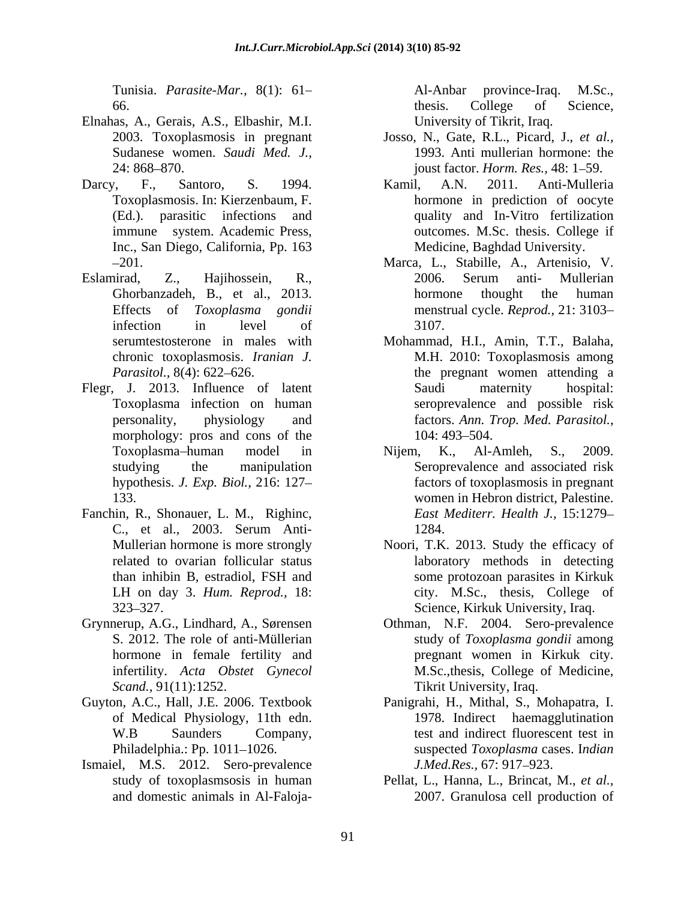- Elnahas, A., Gerais, A.S., Elbashir, M.I.<br>
2003. Toxoplasmosis in pregnant Josso, N., Gate, R.L., Picard, J., et al.,
- Inc., San Diego, California, Pp. 163
- Eslamirad, Z., Hajihossein, R., Ghorbanzadeh, B., et al., 2013.
- Flegr, J. 2013. Influence of latent Saudi maternity hospital: morphology: pros and cons of the  $104:493-504$ . Tunisia, Parassie Mor., 8(1): 61.<br>
An-Anbar province-Iraq, and An-Anbar province-Iraq, and An-Anbar province-Iraq, and An-Anbar province-Iraq, 17 and An-Anbar province-Iraq, 1993. And millerline increases of the military
- Fanchin, R., Shonauer, L. M., Righinc,
- 
- of Medical Physiology, 11th edn.
- Ismaiel, M.S. 2012. Sero-prevalence *J.Med.Res.*, 67: 917–923.

Tunisia. *Parasite-Mar.,* 8(1): 61 66. College of Science, University of Tikrit, Iraq.

- Sudanese women. *Saudi Med. J.,* 1993. Anti mullerian hormone: the 24: 868 870. joust factor. *Horm. Res.,* 48: 1 59. Josso, N., Gate, R.L., Picard, J., *et al.,*
- Darcy, F., Santoro, S. 1994. Kamil, A.N. 2011. Anti-Mulleria Toxoplasmosis. In: Kierzenbaum, F. hormone in prediction of oocyte (Ed.). parasitic infections and quality and In-Vitro fertilization immune system. Academic Press, outcomes. M.Sc. thesis. College if Kamil, A.N. 2011. Anti-Mulleria Medicine, Baghdad University.
	- -201. Marca, L., Stabille, A., Artenisio, V. Effects of *Toxoplasma gondii* menstrual cycle. *Reprod.,* 21: 3103 infection in level of 3107. Marca, L., Stabille, A., Artenisio, V. 2006. Serum anti- Mullerian hormone thought the human 3107.
	- serumtestosterone in males with Mohammad, H.I., Amin, T.T., Balaha, chronic toxoplasmosis. *Iranian J.* M.H. 2010: Toxoplasmosis among *Parasitol.*, 8(4): 622–626. The pregnant women attending a Toxoplasma infection on human seroprevalence and possible risk personality, physiology and factors. *Ann. Trop. Med. Parasitol.,* Saudi maternity hospital: 104: 493–504.
	- Toxoplasma-human model in Nijem, K., Al-Amleh, S., 2009. studying the manipulation Seroprevalence and associated risk hypothesis. *J. Exp. Biol.,* 216: 127 factors of toxoplasmosis in pregnant 133. women in Hebron district, Palestine. C., et al., 2003. Serum Anti- Nijem, K., Al-Amleh, S., 2009. Seroprevalence and associated risk *East Mediterr. Health J.,* 15:1279 1284.
	- Mullerian hormone is more strongly Noori, T.K. 2013. Study the efficacy of related to ovarian follicular status laboratory methods in detecting than inhibin B, estradiol, FSH and LH on day 3. *Hum. Reprod.*, 18: city. M.Sc., thesis, College of 323 327. Science, Kirkuk University, Iraq. some protozoan parasites in Kirkuk
- Grynnerup, A.G., Lindhard, A., Sørensen Othman, N.F. 2004. Sero-prevalence S. 2012. The role of anti-Müllerian study of *Toxoplasma gondii* among hormone in female fertility and pregnant women in Kirkuk city. infertility. *Acta Obstet Gynecol* M.Sc.,thesis, College of Medicine, *Scand.,* 91(11):1252. Tikrit University, Iraq.
- Guyton, A.C., Hall, J.E. 2006. Textbook Panigrahi, H., Mithal, S., Mohapatra, I. W.B Saunders Company, test and indirect fluorescent test in Philadelphia.: Pp. 1011–1026. suspected *Toxoplasma* cases. Indian 1978. Indirect haemagglutination *J.Med.Res.,* 67: 917–923.
	- study of toxoplasmsosis in human Pellat, L., Hanna, L., Brincat, M., *et al.,* 2007. Granulosa cell production of